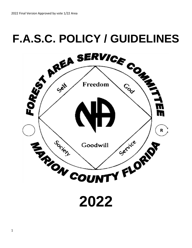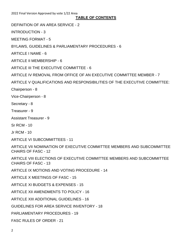## **TABLE OF CONTENTS**

DEFINITION OF AN AREA SERVICE - 2

INTRODUCTION - 3

MEETING FORMAT - 5

BYLAWS, GUIDELINES & PARLIAMENTARY PROCEDURES - 6

ARTICLE I NAME - 6

ARTICLE II MEMBERSHIP - 6

ARTICLE III THE EXECUTIVE COMMITTEE - 6

ARTICLE IV REMOVAL FROM OFFICE OF AN EXECUTIVE COMMITTEE MEMBER - 7

ARTICLE V QUALIFICATIONS AND RESPONSIBILITIES OF THE EXECUTIVE COMMITTEE:

Chairperson - 8

Vice-Chairperson - 8

Secretary - 8

Treasurer - 9

Assistant Treasurer - 9

Sr RCM - 10

Jr RCM - 10

ARTICLE VI SUBCOMMITTEES - 11

ARTICLE VII NOMINATION OF EXECUTIVE COMMITTEE MEMBERS AND SUBCOMMITTEE CHAIRS OF FASC - 12

ARTICLE VIII ELECTIONS OF EXECUTIVE COMMITTEE MEMBERS AND SUBCOMMITTEE CHAIRS OF FASC - 13

ARTICLE IX MOTIONS AND VOTING PROCEDURE - 14

ARTICLE X MEETINGS OF FASC - 15

ARTICLE XI BUDGETS & EXPENSES - 15

ARTICLE XII AMENDMENTS TO POLICY - 16

ARTICLE XIII ADDITIONAL GUIDELINES - 16

GUIDELINES FOR AREA SERVICE INVENTORY - 18

PARLIAMENTARY PROCEDURES - 19

FASC RULES OF ORDER - 21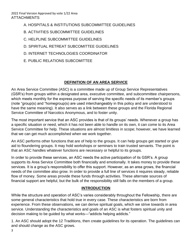- A. HOSPITALS & INSTITUTIONS SUBCOMMITTEE GUIDELINES
- B. ACTIVITIES SUBCOMMITTEE GUIDELINES
- C. HELPLINE SUBCOMMITTEE GUIDELINES
- D. SPIRITUAL RETREAT SUBCOMITTEE GUIDELINES
- D. INTERNET TECHNOLOGIES COORDINATOR
- E. PUBLIC RELATIONS SUBCOMITTEE

# **DEFINITION OF AN AREA SERVICE**

An Area Service Committee (ASC) is a committee made up of Group Service Representatives (GSR's) from groups within a designated area, executive committee, and subcommittee chairpersons, which meets monthly for the express purpose of serving the specific needs of its member's groups (note "group(s) and "homegroup(s) are used interchangeably in this policy and are understood to have the same meaning). It also serves as a link between these groups and the Florida Regional Service Committee of Narcotics Anonymous, and to foster unity.

The most important service that an ASC provides is that of its groups' needs. Whenever a group has a specific situation or need, which it has not been able to handle on its own, it can come to its Area Service Committee for help. These situations are almost limitless in scope; however, we have learned that we can get much accomplished when we work together.

An ASC performs other functions that are of help to the groups. It can help groups get started or give aid to floundering groups. It may hold workshops or seminars to train trusted servants. The point is that an ASC handles whatever functions are necessary or helpful to its groups.

In order to provide these services, an ASC needs the active participation of its GSR's. A group supports its Area Service Committee both financially and emotionally. It takes money to provide these services. It is a group's responsibility to offer this support. However, as an area grows, the financial needs of the committee also grow. In order to provide a full line of services it requires steady, reliable flow of money. Some areas provide these funds through activities. These alternate sources of financial support are helpful, but the bulk of the responsibility still falls on the members of a group.

# **INTRODUCTION**

While the structure and operation of ASC's varies considerably throughout the Fellowship, there are some general characteristics that hold true in every case. These characteristics are born from experience. From these observations, we can derive spiritual goals, which we strive towards in area service. Understanding the characteristics and goals of an ASC is what fosters spiritual unity and decision making to be guided by what works—"addicts helping addicts."

1. An ASC should adopt the 12 Traditions, then create guidelines for its operation. The guidelines can and should change as the ASC grows.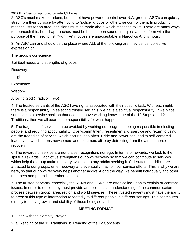2. ASC's must make decisions, but do not have power or control over N.A. groups. ASC's can quickly stray from their purpose by attempting to "police" groups or otherwise control them. In producing meeting lists for an area, decisions must be made about which meetings to list. There are many ways to approach this, but all approaches must be based upon sound principles and conform with the purpose of the meeting list. "Punitive" motives are unacceptable in Narcotics Anonymous.

3. An ASC can and should be the place where ALL of the following are in evidence; collective expression of:

The group's conscience

Spiritual needs and strengths of groups

Recovery

Insight

**Experience** 

Wisdom

A loving God (Tradition Two)

4. The trusted servants of the ASC have rights associated with their specific task. With each right, there is a responsibility. In selecting trusted servants, we have a spiritual responsibility. If we place someone in a service position that does not have working knowledge of the 12 Steps and 12 Traditions, then we all bear some responsibility for what happens.

5. The tragedies of service can be avoided by working our programs, being responsible in electing people, and requiring accountability. Over-commitment, resentments, disservice and return to using are the tragedies of service, which occur all too often. Pride and power can lead to self-centered leadership, which harms newcomers and old-timers alike by detracting from the atmosphere of recovery.

6. The rewards of service are not praise, recognition, nor ego. In terms of rewards, we look to the spiritual rewards. Each of us strengthens our own recovery so that we can contribute to services which help the group make recovery available to any addict seeking it. Still suffering addicts are attracted to our groups, enter recovery and eventually may join our service efforts. This is why we are here, so that our own recovery helps another addict. Along the way, we benefit individually and other members and potential members do also.

7. The trusted servants, especially the RCMs and GSRs, are often called upon to explain or confront issues. In order to do so, they must provide and possess an understanding of the communication process between group, area, region and world services. These trusted servants must have the ability to present this type of information repeatedly to different people in different settings. This contributes directly to unity, growth, and stability of those being served.

# **MEETING FORMAT**

1. Open with the Serenity Prayer

2. a. Reading of the 12 Traditions b. Reading of the 12 Concepts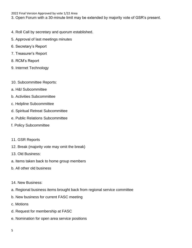3. Open Forum with a 30-minute limit may be extended by majority vote of GSR's present.

- 4. Roll Call by secretary and quorum established.
- 5. Approval of last meetings minutes
- 6. Secretary's Report
- 7. Treasurer's Report
- 8. RCM's Report
- 9. Internet Technology
- 10. Subcommittee Reports:
- a. H&I Subcommittee
- b. Activities Subcommittee
- c. Helpline Subcommittee
- d. Spiritual Retreat Subcommittee
- e. Public Relations Subcommittee
- f. Policy Subcommittee
- 11. GSR Reports
- 12. Break (majority vote may omit the break)
- 13. Old Business:
- a. Items taken back to home group members
- b. All other old business
- 14. New Business:
- a. Regional business items brought back from regional service committee
- b. New business for current FASC meeting
- c. Motions
- d. Request for membership at FASC
- e. Nomination for open area service positions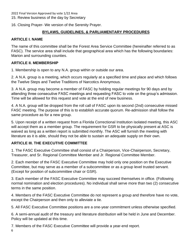15. Review business of the day by Secretary

16. Closing Prayer- We version of the Serenity Prayer.

## **BYLAWS, GUIDELINES, & PARLIAMENTARY PROCEDURES**

## **ARTICLE I. NAME**

The name of this committee shall be the Forest Area Service Committee (hereinafter referred to as FASC). The service area shall include that geographical area which has the following boundaries: Marion and surrounding counties.

## **ARTICLE II. MEMBERSHIP**

1. Membership is open to any N.A. group within or outside our area.

2. A N.A. group is a meeting, which occurs regularly at a specified time and place and which follows the Twelve Steps and Twelve Traditions of Narcotics Anonymous.

3. A N.A. group may become a member of FASC by holding regular meetings for 90 days and by attending three consecutive FASC meetings and requesting FASC to vote on the group's admission. Time will be allowed for this request and vote at the end of new business.

4. A N.A. group will be dropped from the roll call of FASC upon its second (2nd) consecutive missed FASC meeting. The purpose of this is to establish accurate quorum. Re-admission shall follow the same procedure as for a new group.

5. Upon receipt of a written request from a Florida Correctional Institution isolated meeting, this ASC will accept them as a member group. The requirement for GSR to be physically present at ASC is waived as long as a written report is submitted monthly. The ASC will furnish the meeting with literature as it is able, should they not be able to sustain an adequate supply on their own.

# **ARTICLE III. THE EXECUTIVE COMMITTEE**

1. The FASC Executive Committee shall consist of a Chairperson, Vice-Chairperson, Secretary, Treasurer, and Sr. Regional Committee Member and Jr. Regional Committee Member.

2. Each member of the FASC Executive Committee may hold only one position on the Executive Committee, but may serve as a member of a subcommittee or as a group level trusted servant. (Except for position of subcommittee chair or GSR).

3. Each member of the FASC Executive Committee may succeed themselves in office. (Following normal nomination and election procedures). No individual shall serve more than two (2) consecutive terms in the same position.

4. Members of the FASC Executive Committee do not represent a group and therefore have no vote, except the Chairperson and then only to alleviate a tie.

5. All FASC Executive Committee positions are a one-year commitment unless otherwise specified.

6. A semi-annual audit of the treasury and literature distribution will be held in June and December. Policy will be updated at this time.

7. Members of the FASC Executive Committee will provide a year-end report.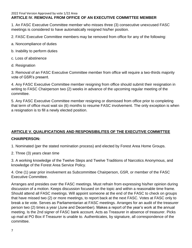#### 2022 Final Version Approved by vote 1/22 Area **ARTICLE IV. REMOVAL FROM OFFICE OF AN EXECUTIVE COMMITTEE MEMBER**

1. An FASC Executive Committee member who misses three (3) consecutive unexcused FASC meetings is considered to have automatically resigned his/her position.

2. FASC Executive Committee members may be removed from office for any of the following:

- a. Noncompliance of duties
- b. Inability to perform duties
- c. Loss of abstinence
- d. Resignation

3. Removal of an FASC Executive Committee member from office will require a two-thirds majority vote of GSR's present.

4. Any FASC Executive Committee member resigning from office should submit their resignation in writing to FASC Chairperson two (2) weeks in advance of the upcoming regular meeting of the committee.

5. Any FASC Executive Committee member resigning or dismissed from office prior to completing that term of office must wait six (6) months to resume FASC involvement. The only exception is when a resignation is to fill a newly elected position.

# **ARTICLE V. QUALIFICATIONS AND RESPONSIBILITES OF THE EXECUTIVE COMMITTEE**

# **CHAIRPERSON:**

1. Nominated (per the stated nomination process) and elected by Forest Area Home Groups.

2. Three (3) years clean time

3. A working knowledge of the Twelve Steps and Twelve Traditions of Narcotics Anonymous, and knowledge of the Forest Area Service Policy.

4. One (1) year prior involvement as Subcommittee Chairperson, GSR, or member of the FASC Executive Committee.

Arranges and presides over the FASC meetings. Must refrain from expressing his/her opinion during discussion of a motion. Keeps discussion focused on the topic and within a reasonable time frame. Should attend all FASC meetings. Will appoint someone at the end of the FASC to check on groups that have missed two (2) or more meetings, to report back at the next FASC. Votes at FASC only to break a tie vote. Serves as Parliamentarian at FASC meetings. Arranges for an audit of the treasurer person two (2) times a year (June and December). Makes a report of the year's work at the annual meeting. Is the 2nd signer of FASC bank account. Acts as Treasurer in absence of treasurer. Picks up mail at PO Box if Treasurer is unable to. Authenticates, by signature, all correspondence of the committee.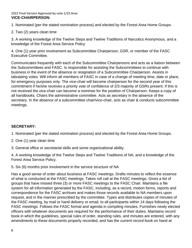#### 2022 Final Version Approved by vote 1/22 Area **VICE-CHAIRPERSON:**

1. Nominated (per the stated nomination process) and elected by the Forest Area Home Groups.

2. Two (2) years clean time

3. A working knowledge of the Twelve Steps and Twelve Traditions of Narcotics Anonymous, and a knowledge of the Forest Area Service Policy

4. One (1) year prior involvement as Subcommittee Chairperson, GSR, or member of the FASC Executive Committee.

Communicates frequently with each of the Subcommittee Chairpersons and acts as a liaison between the Subcommittees and FASC. Is responsible for assisting the Subcommittees to continue with business in the event of the absence or resignation of a Subcommittee Chairperson. Assists in tabulating votes. Will inform all members of FASC in case of a change of meeting time, date or place, for emergency purposes only. The vice-chair will become chairperson for the second year of this commitment if he/she receives a priority vote of confidence of 2/3 majority of GSRs present. If this is not received the vice-chair can become a nominee for the position of Chairperson. Keeps a copy of all handbooks. Chairs the administrative committee. Acts as secretary in the absence of the secretary. In the absence of a subcommittee chair/vice-chair, acts as chair & conducts subcommittee meetings.

# **SECRETARY:**

1. Nominated (per the stated nomination process) and elected by the Forest Area Home Groups.

- 2. One (1) year clean time
- 3. General office or secretarial skills and some organizational ability.

4. A working knowledge of the Twelve Steps and Twelve Traditions of NA, and a knowledge of the Forest Area Service Policy.

5. Six (6) months prior involvement in the service structure of NA

Has a good sense of order about business at FASC meetings. Drafts minutes to reflect the essence of what is conducted at the FASC meetings. Takes roll call at the FASC meetings. Gives a list of groups that have missed three (3) or more FASC meetings to the FASC Chair. Maintains a file system for all information generated by the FASC, including, as a record, motion forms, reports and correspondence for the FASC archives and makes those records available to NA members upon request, and in the manner prescribed by the committee. Types and distributes copies of minutes of the FASC meeting, by mail or hand delivery or email, to all participants within 14 days following the FASC meetings. Follows the FASC format and agenda in compiling minutes. Furnishes newly elected officers with whatever documents are required for the performance of their duties. Maintains record book in which the guidelines, special rules of order, standing rules, and minutes are entered, with any amendments to these documents properly recorded, and has the current record book on hand at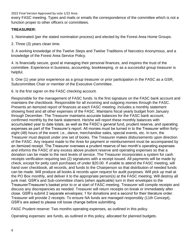every FASC meeting. Types and mails or emails the correspondence of the committee which is not a function proper to other officers or committees.

## **TREASURER:**

1. Nominated (per the stated nomination process) and elected by the Forest Area Home Groups.

2. Three (3) years clean time.

3. A working knowledge of the Twelve Steps and Twelve Traditions of Narcotics Anonymous, and a knowledge of the Forest Area Service Policy.

4. Is financially secure, good at managing their personal finances, and inspires the trust of the committee. Experience in business, accounting, bookkeeping, or as a successful group treasurer is helpful.

5. One (1) year prior experience as a group treasurer or prior participation in the FASC as a GSR, Subcommittee Chair or member of the Executive Committee.

6. Is the first signer on the FASC checking account.

Responsible for the management of FASC funds. Is the first signature on the FASC bank account and maintains the checkbook. Responsible for all incoming and outgoing monies through the FASC. Presents an itemized report of finances at each FASC meeting. Includes a monthly statement showing fixed and all other expenses of the FASC. Maintains fiscal yearly budget from January through December. The Treasurer maintains accurate balances for the FASC bank account, confirmed monthly by the bank statement. He/she will report these monthly balances with accumulated year to date totals, as well as the FASC's general fund, prudent reserve, and operating expenses as part of the Treasurer's report. All monies must be turned in to the Treasurer within fortyeight (48) hours of the event: i.e., dance, merchandise sales, special events, etc. In turn, the Treasurer must deposit under one set of books. The Treasurer makes disbursements upon direction of the FASC. Any request made to the Area for payment or reimbursement must be accompanied by an itemized receipt. The Treasurer oversees a prudent reserve of two month's operating expenses and informs the FASC of any excess above prudent reserve and operating expenses so that a donation can be made to the next levels of service. The Treasurer incorporates a system for cash receipts verification requiring two (2) signatures with a receipt issued. All payments will be made by check, except for petty cash purchases of under \$20.00. If unable to attend the FASC meeting, will hand over checkbook, all records, and funds to the Chairperson so that distribution of needed funds can be made. Will produce all books & records upon request for audit purposes. Will pick up mail at the PO Box monthly, and deliver it to the appropriate person(s) at the FASC meeting. Will destroy all junk mail. GSR's and Sub-committee chairs (when applicable) turn in their envelopes to the Treasurer/Treasurer's basket prior to or at start of FASC meeting. Treasurer will compile receipts and discuss any discrepancies as needed. Treasurer will return receipts on break or immediately after close. GSR's submit 2 separate envelopes; 1 for donations and a second for their literature order. Treasurer will provide 2 receipts. To ensure NA funds are managed responsibly (11th Concept), GSR's are asked to please roll loose change before submitting.

FASC Prudent reserve: Two months operating expenses, as outlined in this policy.

Operating expenses: are funds, as outlined in this policy, allocated for planned budgets.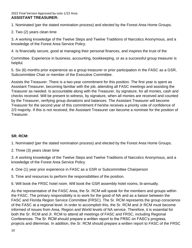#### 2022 Final Version Approved by vote 1/22 Area **ASSISTANT TREASURER:**

1. Nominated (per the stated nomination process) and elected by the Forest Area Home Groups.

2. Two (2) years clean time

3. A working knowledge of the Twelve Steps and Twelve Traditions of Narcotics Anonymous, and a knowledge of the Forest Area Service Policy.

4. Is financially secure, good at managing their personal finances, and inspires the trust of the

Committee. Experience in business, accounting, bookkeeping, or as a successful group treasurer is helpful.

5. Six (6) months prior experience as a group treasurer or prior participation in the FASC as a GSR, Subcommittee Chair or member of the Executive Committee.

Assists the Treasurer. There is a two-year commitment for this position. The first year is spent as Assistant Treasurer, becoming familiar with the job, attending all FASC meetings and assisting the Treasurer as needed. Is accountable along with the Treasurer, by signature, for all monies, cash and checks received. Will be present to witness, by signature, when all monies are received and counted by the Treasurer, verifying group donations and balances. The Assistant Treasurer will become Treasurer for the second year of this commitment if he/she receives a priority vote of confidence of 2/3 majority. If this is not received, the Assistant Treasurer can become a nominee for the position of Treasurer.

## **SR. RCM:**

1. Nominated (per the stated nomination process) and elected by the Forest Area Home Groups.

2. Three (3) years clean time

3. A working knowledge of the Twelve Steps and Twelve Traditions of Narcotics Anonymous, and a knowledge of the Forest Area Service Policy

4. One (1) year prior experience in FASC as a GSR or Subcommittee Chairperson

5. Time and resources to perform the responsibilities of the position.

6. Will book the FRSC hotel room. Will book the GSR assembly hotel rooms, bi-annually.

As the representative of the FASC Area, the Sr. RCM will speak for the members and groups within the FASC. The primary responsibility is to work for the good of NA and as a liaison between the FASC and Florida Region Service Committee (FRSC). The Sr. RCM represents the group conscience of the FASC at a regional level. In order to accomplish this, the Sr. RCM and Jr RCM must become informed of issues from Area, Region and World levels of NA service. Therefore, it is essential for both the Sr. RCM and Jr. RCM to attend all meetings of FASC and FRSC, including Regional Conferences. The Sr. RCM should prepare a written report to the FRSC on FASC's progress, projects and dilemmas. In addition, the Sr. RCM should prepare a written report to FASC of the FRSC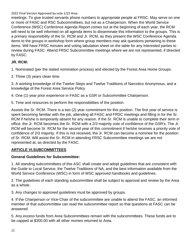meetings. To give trusted servants phone numbers to appropriate people at FRSC. May serve on one or more of FASC and RSC Subcommittees, but not as a Chairperson. When the World Service Conference (WSC) Conference Agenda Report comes out at the beginning of each year, the RCM will need to be well informed on all agenda items to disseminate this information to the groups. This is a primary responsibility of the Sr. RCM and Jr. RCM, as they present the WSC Conference Agenda items to the groups in workshop form where group members may ask questions pertaining to these items. Will have FRSC minutes and voting tabulation sheet on the table for any interested parties to review during FASC. Attend FRSC Subcommittee meetings where we are not represented, if directed by FASC.

# **JR. RCM:**

1. Nominated (per the stated nomination process) and elected by the Forest Area Home Groups.

2. Three (3) years clean time.

3. A working knowledge of the Twelve Steps and Twelve Traditions of Narcotics Anonymous, and a knowledge of the Forest Area Service Policy

4. One (1) year prior experience in FASC as a GSR or Subcommittee Chairperson.

5. Time and resources to perform the responsibilities of the position.

Assists the Sr. RCM. There is a two (2) year commitment for this position. The first year of service is spent becoming familiar with the job, attending all FASC and FRSC meetings and filling in for the Sr. RCM if he/she is temporarily absent for any reason. If the Sr. RCM is unable to complete their term in office, the Jr. RCM becomes the Sr. RCM with a 2/3 majority vote of confidence of the GSR's. The Jr. RCM will become Sr. RCM for the second year of this commitment if he/she receives a priority vote of confidence of 2/3 majority. If this is not received, the Jr. RCM can become a nominee for the position of Sr. RCM. Will assist the Sr. RCM in attending FRSC Subcommittee meetings we are not represented at, as directed by the FASC.

# **ARTICLE VI.SUBCOMMITTEES**

# **General Guidelines for Subcommittee:**

1. All standing subcommittees of this ASC shall create and adopt guidelines that are consistent with the Guide to Local Service, the Twelve Traditions of NA, and the best information available from the World Service Conference (WSC) in form of WSC approved handbooks and guidelines.

2. The guidelines of each standing subcommittee shall be subject to approval and review by the Area as a whole.

3. Any changes to approved guidelines must be approved by groups.

4. If the Chairperson or Vice-Chair of the subcommittee are unable to attend the FASC, an informed member of that subcommittee can read the subcommittee report so that questions at FASC can be answered.

5. Any excess funds from Area Subcommittees remain with the subcommittees. These funds are to be capped at \$300.00 with all other monies returned to Area.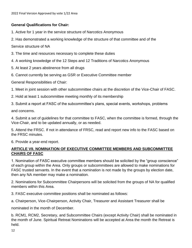## **General Qualifications for Chair:**

- 1. Active for 1 year in the service structure of Narcotics Anonymous
- 2. Has demonstrated a working knowledge of the structure of that committee and of the

Service structure of NA

- 3. The time and resources necessary to complete these duties
- 4. A working knowledge of the 12 Steps and 12 Traditions of Narcotics Anonymous
- 5. At least 2 years abstinence from all drugs
- 6. Cannot currently be serving as GSR or Executive Committee member

General Responsibilities of Chair:

- 1. Meet in joint session with other subcommittee chairs at the discretion of the Vice-Chair of FASC.
- 2. Hold at least 1 subcommittee meeting monthly of its membership
- 3. Submit a report at FASC of the subcommittee's plans, special events, workshops, problems

and concerns.

4. Submit a set of guidelines for that committee to FASC, when the committee is formed, through the Vice-Chair, and to be updated annually, or as needed.

5. Attend the FRSC. If not in attendance of FRSC, read and report new info to the FASC based on the FRSC minutes.

6. Provide a year-end report.

## **ARTICLE VII. NOMINATION OF EXECUTIVE COMMITTEE MEMBERS AND SUBCOMMITTEE CHAIRS OF FASC**

1. Nomination of FASC executive committee members should be solicited by the "group conscience" of each group within the Area. Only groups or subcommittees are allowed to make nominations for FASC trusted servants. In the event that a nomination is not made by the groups by election date, then any NA member may make a nomination.

2. Nominations for Subcommittee Chairpersons will be solicited from the groups of NA for qualified members within this Area.

3. FASC executive committee positions shall be nominated as follows:

a. Chairperson, Vice-Chairperson, Activity Chair, Treasurer and Assistant Treasurer shall be

nominated in the month of December.

b. RCM1, RCM2, Secretary, and Subcommittee Chairs (except Activity Chair) shall be nominated in the month of June. Spiritual Retreat Nominations will be accepted at Area the month the Retreat is held.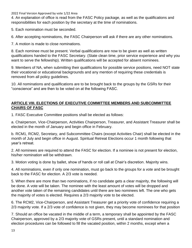4. An explanation of office is read from the FASC Policy package, as well as the qualifications and responsibilities for each position by the secretary at the time of nominations.

5. Each nomination must be seconded.

6. After accepting nominations, the FASC Chairperson will ask if there are any other nominations.

7. A motion is made to close nominations.

8. Each nominee must be present. Verbal qualifications are now to be given as well as written qualifications handed to the FASC Secretary. (State clean time, prior service experience and why you want to serve the fellowship). Written qualifications will be accepted for absent nominees.

9. Members of NA, when submitting their qualifications for possible service positions, need NOT state their vocational or educational backgrounds and any mention of requiring these credentials is removed from all policy guidelines.

10. All nominations and qualifications are to be brought back to the groups by the GSRs for their "conscience" and are then to be voted on at the following FASC.

## **ARTICLE VIII. ELECTIONS OF EXECUTIVE COMMITTEE MEMBERS AND SUBCOMMITTEE CHAIRS OF FASC**

1. FASC Executive Committee positions shall be elected as follows:

a. Chairperson, Vice-Chairperson, Activities Chairperson, Treasurer, and Assistant Treasurer shall be elected in the month of January and begin office in February.

b. RCM1, RCM2, Secretary, and Subcommittee Chairs (except Activities Chair) shall be elected in the month of July and begin office in August. Spiritual Retreat Elections occur 1 month following that year's retreat.

2. All nominees are required to attend the FASC for election. If a nominee is not present for election, his/her nomination will be withdrawn.

3. Motion voting is done by ballet, show of hands or roll call at Chair's discretion. Majority wins.

4. All nominations, even if only one nomination, must go back to the groups for a vote and be brought back to the FASC for election. A 2/3 vote is needed.

5. When there are more than two nominations, if no candidate gets a clear majority, the following will be done. A vote will be taken. The nominee with the least amount of votes will be dropped and another vote taken of the remaining candidates until there are two nominees left. The one who gets the majority of votes is elected. Requires a 2/3 majority vote to be elected.

6. The RCM2, Vice-Chairperson, and Assistant Treasurer get a priority vote of confidence requiring a 2/3 majority vote. If a 2/3 vote of confidence is not given, they may become nominees for that position

7. Should an office be vacated in the middle of a term, a temporary shall be appointed by the FASC Chairperson, approved by a 2/3 majority vote of GSRs present, until a standard nomination and election procedures can be followed to fill the vacated position, within 2 months, except when a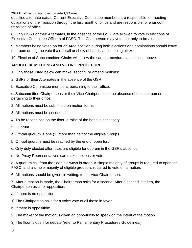qualified alternate exists. Current Executive Committee members are responsible for meeting obligations of their position through the last month of office and are responsible for a smooth transition of office.

8. Only GSRs or their Alternates, in the absence of the GSR, are allowed to vote in elections of Executive Committee Officers of FASC. The Chairperson may vote, but only to break a tie.

9. Members being voted on for an Area position during both elections and nominations should leave the room during the vote if a roll call or show of hands vote is being utilized.

10. Election of Subcommittee Chairs will follow the same procedures as outlined above.

## **ARTICLE IX. MOTIONS AND VOTING PROCEDURE**

- 1. Only those listed below can make, second, or amend motions:
- a. GSRs or their Alternates in the absence of the GSR.
- b. Executive Committee members, pertaining to their office.

c. Subcommittee Chairpersons or their Vice-Chairperson in the absence of the chairperson, pertaining to their office.

- 2. All motions must be submitted on motion forms.
- 3. All motions must be seconded.
- 4. To be recognized on the floor, a raise of the hand is necessary.
- 5. Quorum
- a. Official quorum is one (1) more than half of the eligible Groups.
- b. Official quorum must be reached by the end of open forum.
- c. Only duly elected alternates are eligible for quorum in the GSR's absence.
- d. No Proxy Representatives can make motions or vote.

e. A quorum call from the floor is always in order. A simple majority of groups is required to open the FASC, and a simple majority of eligible groups is required to vote on a motion.

6. All motions should be given, in writing, to the Vice-Chairperson.

7. After a motion is made, the Chairperson asks for a second. After a second is taken, the Chairperson asks for opposition.

- a. If there is no opposition:
- 1) The Chairperson asks for a voice vote of all those in favor.
- b. If there is opposition:
- 2) The maker of the motion is given an opportunity to speak on the intent of the motion.
- 3) The floor is open for debate (refer to Parliamentary Procedures Guidelines.)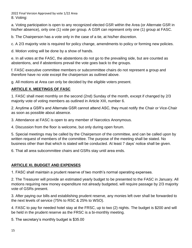2022 Final Version Approved by vote 1/22 Area 8. Voting:

a. Voting participation is open to any recognized elected GSR within the Area (or Alternate GSR in his/her absence), only one (1) vote per group. A GSR can represent only one (1) group at FASC.

b. The Chairperson has a vote only in the case of a tie, at his/her discretion.

c. A 2/3 majority vote is required for policy change, amendments to policy or forming new policies.

d. Motion voting will be done by a show of hands.

e. In all votes at the FASC, the abstentions do not go to the prevailing side, but are counted as abstentions, and if abstentions prevail the vote goes back to the groups.

f. FASC executive committee members or subcommittee chairs do not represent a group and therefore have no vote except the chairperson as outlined above.

g. All motions at Area can only be decided by the eligible voters present.

# **ARTICLE X. MEETINGS OF FASC**

1. FASC shall meet monthly on the second (2nd) Sunday of the month, except if changed by 2/3 majority vote of voting members as outlined in Article XIII, number 6.

2. Anytime a GSR's and Alternate GSR cannot attend ASC, they must notify the Chair or Vice-Chair as soon as possible about absence.

3. Attendance at FASC is open to any member of Narcotics Anonymous.

4. Discussion from the floor is welcome, but only during open forum.

5. Special meetings may be called by the Chairperson of the committee, and can be called upon by written request of members of the committee. The purpose of the meeting shall be stated. No business other than that which is stated will be conducted. At least 7 days' notice shall be given.

6. That all area subcommittee chairs and GSRs stay until area ends.

# **ARTICLE XI. BUDGET AND EXPENSES**

1. FASC shall maintain a prudent reserve of two month's normal operating expenses.

2. The Treasurer will provide an estimated yearly budget to be presented to the FASC in January. All motions requiring new money expenditure not already budgeted, will require passage by 2/3 majority vote of GSRs present.

3. After paying our bills and establishing prudent reserve, any monies left over shall be forwarded to the next levels of service (75% to RSC & 25% to WSO).

4. FASC to pay for needed hotel stay at the FRSC, up to two (2) nights. The budget is \$200 and will be held in the prudent reserve as the FRSC is a bi-monthly meeting.

5. The secretary's monthly budget is \$35.00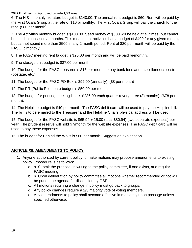6. The H & I monthly literature budget is \$140.00. The annual rent budget is \$60. Rent will be paid by the First Ocala Group at the rate of \$10 bimonthly. The First Ocala Group will pay the church for the rent. (\$80 per month).

7. The Activities monthly budget is \$100.00. Seed money of \$300 will be held at all times, but cannot be used in consecutive months. This means that activities has a budget of \$400 for any given month, but cannot spend more than \$500 in any 2 month period. Rent of \$20 per month will be paid by the FASC, bimonthly.

8. The FASC meeting rent budget is \$25.00 per month and will be paid bi-monthly.

9. The storage unit budget is \$37.00 per month

10. The budget for the FASC treasurer is \$15 per month to pay bank fees and miscellaneous costs (postage, etc.)

11. The budget for the FASC PO Box is \$92.00 (annually). (\$8 per month)

12. The PR (Public Relations) budget is \$50.00 per month.

13. The budget for printing meeting lists is \$236.00 each quarter (every three (3) months). (\$78 per month).

14. The Helpline budget is \$40 per month. The FASC debit card will be used to pay the Helpline bill. The bill is to be emailed to the Treasurer and the Helpline Chairs physical address will be used.

15. The budget for the FASC website is \$65.94 + 15.00 (total \$80.94) (two separate expenses) per year. The prudent reserve will hold \$7/month for the website expenses. The FASC debit card will be used to pay these expenses.

16. The budget for Behind the Walls is \$60 per month. Suggest an explanation

# **ARTICLE XII. AMENDMENTS TO POLICY**

- 1. Anyone authorized by current policy to make motions may propose amendments to existing policy. Procedure is as follows:
	- a. a. Submit the proposal in writing to the policy committee, if one exists, at a regular FASC meeting
	- b. b. Upon deliberation by policy committee all motions whether recommended or not will be put on the agenda for discussion by GSRs
	- c. All motions requiring a change in policy must go back to groups.
	- d. Any policy changes require a 2/3 majority vote of voting members.
	- e. Any amendments to policy shall become effective immediately upon passage unless specified otherwise.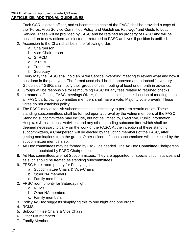- 1. Each GSR, elected officer, and subcommittee chair of the FASC shall be provided a copy of the "Forest Area Service Committee Policy and Guidelines Package" and Guide to Local Service. These will be provided by FASC and be retained as property of FASC and will be passed on to new officers as elected or returned to FASC archives if position is unfilled.
- 2. Ascension to the Chair shall be in the following order:
	- a. Chairperson
	- b. Vice-Chairperson
	- c. Sr RCM
	- d. Jr RCM
	- e. Treasurer
	- f. Secretary
- 3. Every May the FASC shall hold an "Area Service Inventory" meeting to review what and how it has done in the past year. The format used shall be the approved and attached "Inventory Guidelines." GSRs shall notify their groups of this meeting at least one month in advance.
- 4. Groups will be responsible for reimbursing FASC for any fees related to returned checks.
- 5. In matters affecting FASC meetings ONLY, (such as smoking, time, location of meeting, etc.) all FASC participating committee members shall have a vote. Majority vote prevails. These votes do not establish policy.
- 6. The FASC may establish subcommittees as necessary to perform certain duties. These standing subcommittees shall be formed upon approval by the voting members of the FASC. Standing subcommittees may include, but not be limited to, Executive, Public Information, Hospitals & Institutions, Activities, and any other standing subcommittee which shall be deemed necessary to carry on the work of the FASC. At the inception of these standing subcommittees, a Chairperson will be elected by the voting members of the FASC, after getting nominations from the group. Other officers of each subcommittee will be elected by the subcommittee membership.
- 7. Ad Hoc committees may be formed by FASC as needed. The Ad Hoc Committee Chairperson shall be appointed by FASC Chairperson.
- 8. Ad Hoc committees are not Subcommittees. They are appointed for special circumstances and as such should be treated as standing subcommittees.
- 9. FRSC Hotel room priority for Friday night:
	- a. Subcommittee Chairs & Vice-Chairs
	- b. Other NA members
	- c. Family members
- 2. FRSC room priority for Saturday night:
	- a. RCMs
	- b. Other NA members
	- c. Family members
- 3. Policy Ad Hoc suggests simplifying this to one night and one order:
- 4. RCMS
- 5. Subcommittee Chairs & Vice Chairs
- 6. Other NA members
- 7. Family Members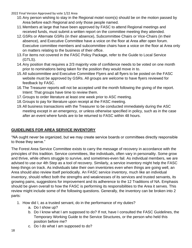- 10.Any person wishing to stay in the Regional motel room(s) should be on the motion passed by Area before each Regional and only those people named.
- 11.Members at large that have been approved by FASC to attend Regional meetings and received funds, must submit a written report on the committee meeting they attended.
- 12.GSRs or Alternate GSRs (in their absence), Subcommittee Chairs or Vice-Chairs (in their absence), and Executive Committee have a voice on the floor at Area after open forum. Executive committee members and subcommittee chairs have a voice on the floor at Area only on matters relating to the business of their office.
- 13.For items not covered in the FASC Policy Package, refer to the Guide to Local Service (GTLS).
- 14.Any position that requires a 2/3 majority vote of confidence needs to be voted on one month prior to nominations being taken for the position they would move in to.
- 15.All subcommittee and Executive Committee Flyers and all flyers to be posted on the FASC website must be approved by GSRs. All groups are welcome to have flyers reviewed for feedback by FASC.
- 16.The Treasurer reports will not be accepted until the month following the giving of the report. Intent: That groups have time to review them.
- 17.Groups to order literature at least one week prior to ASC meeting.
- 18.Groups to pay for literature upon receipt at the FASC meeting.
- 19.All business transactions with the Treasurer to be conducted immediately during the ASC meeting except in an emergency, or unless otherwise specified in policy, such as in the case after an event where funds are to be returned to FASC within 48 hours.

# **GUIDELINES FOR AREA SERVICE INVENTORY**

"NA ought never be organized, but we may create service boards or committees directly responsible to those they serve."

The Forest Area Service Committee exists to carry the message of recovery in accordance with the principles of this tradition. Service committees, like individuals, often vary in personality. Some grow and thrive, while others struggle to survive, and sometimes-even fail. As individual members, we are advised to use our 4th Step as a tool of recovery. Similarly, a service inventory might help the FASC keep things on track. As individuals take their own inventories even when things are going well, an Area should also review itself periodically. An FASC service inventory, much like an individual inventory, should reflect both the strengths and weaknesses of its services and trusted servants, its growing pains, suggestions for improvement and its adherence to the 12 Traditions of NA. Emphasis should be given overall to how the FASC is performing its responsibilities to the Area it serves. This review might include some of the following questions. Generally, the inventory can be broken into 2 parts:

- 1. How did I, as a trusted servant, do in the performance of my duties?
	- a. Do I show up?
	- b. Do I know what I am supposed to do? If not, have I consulted the FASC Guidelines, the Temporary Working Guide to the Service Structures, or the person who held this position before me?
	- c. Do I do what I am supposed to do?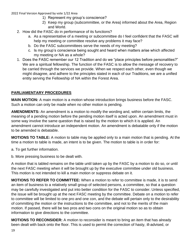- 1) Represent my group's conscience?
- 2) Keep my group (subcommittee, or the Area) informed about the Area, Region and World.
- 2. How did the FASC do in performance of its functions?
	- a. As a representative of a meeting or subcommittee do I feel confident that the FASC will help my meeting or committee resolve any problems it may face?
	- b. Do the FASC subcommittees serve the needs of my meeting?
	- c. Is my group's conscience being sought and heard when matters arise which affected my meeting or NA as a whole?
- 1. Does the FASC remember our 12 Tradition and do we "place principles before personalities?" We are a spiritual fellowship. The function of the FASC is to allow the message of recovery to be carried through the services we provide. When we respect each other, even though we might disagree, and adhere to the principles stated in each of our Traditions, we are a unified entity serving the Fellowship of NA within the Forest Area.

# **PARLIAMENTARY PROCEDURES**

**MAIN MOTION:** A main motion is a motion whose introduction brings business before the FASC. Such a motion can only be made when no other motion is pending.

**AMENDMENTS:** An amendment is a motion to modify the wording and, within certain limits, the meaning of a pending motion before the pending motion itself is acted upon. An amendment must in some way involve the same question that is raised by the motion to which it is applied. An amendment cannot introduce an independent motion. An amendment is debatable only if the motion to be amended is debatable.

**MOTIONS TO TABLE:** A motion to table may be applied only to a main motion that is pending. At the time a motion to table is made, an intent is to be given. The motion to table is in order for:

a. To get further information.

b. More pressing business to be dealt with.

A motion that is tabled remains on the table until taken up by the FASC by a motion to do so, or until the next FASC meeting when it will be brought up by the executive committee under old business. This motion is not intended to kill a main motion or suppress debate on it.

**MOTIONS TO REFER TO COMMITTEE:** When a motion to refer to committee is made, it is to send an item of business to a relatively small group of selected persons, a committee, so that a question may be carefully investigated and put into better condition for the FASC to consider. Unless specified, the issue will be brought up at the next FASC meeting by the committee. Debate on a motion to refer to committee will be limited to one pro and one con, and the debate will pertain only to the desirability of committing the motion or the instructions to the committee, and not to the merits of the main motion. If passed, there will be two pros and two cons on the original motion so as to obtain information to give directions to the committee.

**MOTIONS TO RECONSIDER:** A motion to reconsider is meant to bring an item that has already been dealt with back onto the floor. This is used to permit the correction of hasty, ill-advised, or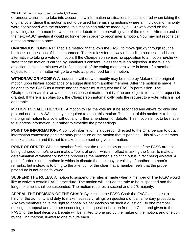erroneous action, or to take into account new information or situations not considered when taking the original vote. Since this motion is not to be used for rehashing motions where an individual or minority were not pleased with the outcome, this motion can only be made by a GSR who voted on the prevailing side or a member who spoke in debate to the prevailing side of the motion. After the end of the next FASC meeting it would no longer be in order to reconsider a motion. You may not reconsider a motion more than once.

**UNANIMOUS CONSENT:** That is a method that allows the FASC to move quickly through routine business or questions of little importance. This is a less formal way of handling business and is an alternative to taking a vote on motion. If the Chairperson senses no opposition to a motion he/she will state that the motion is carried by unanimous consent unless there is an objection. If there is no objection to this the minutes will reflect that all of the voting members were in favor. If a member objects to this, the matter will go to a vote as prescribed for the motion.

**WITHDRAW OR MODIFY:** A request to withdraw or modify may be made by Maker of the original motion upon his/her acceptance of a suggestion from another member. After the motion is made, it belongs to the FASC as a whole and the maker must request the FASC's permission. The Chairperson treats this as a unanimous consent matter, that is, if no one objects to this, the request is granted. If there is an objection, the Chairperson automatically puts the request to a vote, which is not debatable.

**MOTION TO CALL THE VOTE:** A motion to call the vote must be seconded and allows for only one pro and one con. A 2/3 majority is required to adopt this motion. The intent of this motion is to bring the original motion to a vote without any further amendment or debate. This motion is not to be made to suppress information, but rather to expedite the proceedings.

**POINT OF INFORMATION:** A point of information is a question directed to the Chairperson to obtain information concerning parliamentary procedure or the motion that is pending. This allows a member to ask a question and it is not to make a statement or give information.

**POINT OF ORDER:** When a member feels that the rules, policy or guidelines of the FASC are not being adhered to, he/she can make a "point of order" which in effect is asking the Chair to make a determination of whether or not the procedure the member is pointing out is in fact being violated. A point of order is not a method in which to dispute the accuracy or validity of another member's remarks, but instead is to bring to the attention of the chair that a member feels that the proper procedure is not being followed.

**SUSPEND THE RULES:** A motion to suspend the rules is made when a member of The FASC would like to waive a certain FASC procedure. The motion will include the rule to be suspended and the length of time it shall be suspended. The motion requires a second and a 2/3 majority.

**APPEAL THE DECISION OF THE CHAIR**: By electing the FASC Chair the FASC delegates to him/her the authority and duty to make necessary rulings on questions of parliamentary procedure. Any two members have the right to appeal his/her decision on such a question. By one member making the appeal and another seconding it, the question is taken from the Chair and given to the FASC for the final decision. Debate will be limited to one pro by the maker of the motion, and one con by the Chairperson, limited to one minute each.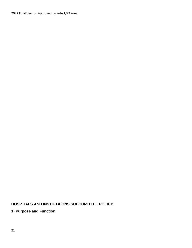# **HOSPTIALS AND INSTIUTAIONS SUBCOMITTEE POLICY**

**1) Purpose and Function**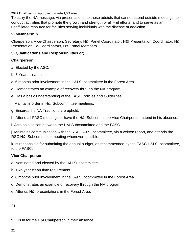To carry the NA message, via presentations, to those addicts that cannot attend outside meetings, to conduct activities that promote the growth and strength of all H&I efforts, and to serve as an unaffiliated resource for facilities serving individuals with the disease of addiction.

## **2) Membership**

Chairperson, Vice-Chairperson, Secretary, H&I Panel Coordinator, H&I Presentation Coordinator, H&I Presentation Co-Coordinators, H&I Panel Members.

## **3) Qualifications and Responsibilities of;**

## **Chairperson:**

- a. Elected by the ASC.
- b. 3 Years clean time.
- c. 6 months prior involvement in the H&I Subcommittee in the Forest Area.
- d. Demonstrates an example of recovery through the NA program.
- e. Has a basic understanding of the FASC Policies and Guidelines.
- f. Maintains order in H&I Subcommittee meetings.
- g. Ensures the NA Traditions are upheld.
- h. Attend all FASC meetings or have the H&I Subcommittee Vice Chairperson attend in his absence.
- i. Acts as a liaison between the H&I Subcommittee and the FASC.

j. Maintains communication with the RSC H&I Subcommittee, via a written report, and attends the RSC H&I Subcommittee meeting whenever possible.

k. Is responsible for submitting the annual budget, as recommended by the FASC H&I Subcommittee, to the FASC.

## **Vice-Chairperson**

- a. Nominated and elected by the H&I Subcommittee.
- b. Two year clean time requirement.
- c. 6 months prior involvement in the H&I Subcommittee in the Forest Area.
- d. Demonstrates an example of recovery through the NA program.
- e. Attends H&I presentations in the Forest Area.

21

f. Fills in for the H&I Chairperson in their absence.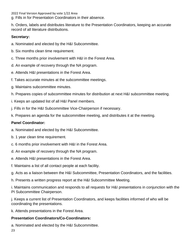g. Fills in for Presentation Coordinators in their absence.

h. Orders, labels and distributes literature to the Presentation Coordinators, keeping an accurate record of all literature distributions.

## **Secretary:**

- a. Nominated and elected by the H&I Subcommittee.
- b. Six months clean time requirement.
- c. Three months prior involvement with H&I in the Forest Area.
- d. An example of recovery through the NA program.
- e. Attends H&I presentations in the Forest Area.
- f. Takes accurate minutes at the subcommittee meetings.
- g. Maintains subcommittee minutes.
- h. Prepares copies of subcommittee minutes for distribution at next H&I subcommittee meeting.
- i. Keeps an updated list of all H&I Panel members.
- j. Fills in for the H&I Subcommittee Vice-Chairperson if necessary.
- k. Prepares an agenda for the subcommittee meeting, and distributes it at the meeting.

# **Panel Coordinator:**

- a. Nominated and elected by the H&I Subcommittee.
- b. 1 year clean time requirement.
- c. 6 months prior involvement with H&I in the Forest Area.
- d. An example of recovery through the NA program.
- e. Attends H&I presentations in the Forest Area.
- f. Maintains a list of all contact people at each facility.
- g. Acts as a liaison between the H&I Subcommittee, Presentation Coordinators, and the facilities.
- h. Presents a written progress report at the H&I Subcommittee Meeting.

i. Maintains communication and responds to all requests for H&I presentations in conjunction with the PI Subcommittee Chairperson.

j. Keeps a current list of Presentation Coordinators, and keeps facilities informed of who will be coordinating the presentations.

k. Attends presentations in the Forest Area.

# **Presentation Coordinators/Co-Coordinators:**

a. Nominated and elected by the H&I Subcommittee.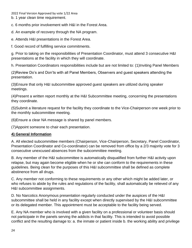b. 1 year clean time requirement.

c. 6 months prior involvement with H&I in the Forest Area.

d. An example of recovery through the NA program.

e. Attends H&I presentations in the Forest Area.

f. Good record of fulfilling service commitments.

g. Prior to taking on the responsibilities of Presentation Coordinator, must attend 3 consecutive H&I presentations at the facility in which they will coordinate.

h. Presentation Coordinators responsibilities include but are not limited to: (1)Inviting Panel Members

(2)Review Do's and Don'ts with all Panel Members, Observers and guest speakers attending the presentation.

(3)Ensure that only H&I subcommittee approved guest speakers are utilized during speaker meetings.

(4)Present a written report monthly at the H&I Subcommittee meeting, concerning the presentations they coordinate.

(5)Submit a literature request for the facility they coordinate to the Vice-Chairperson one week prior to the monthly subcommittee meeting.

(6)Ensure a clear NA message is shared by panel members.

(7)Appoint someone to chair each presentation.

## **4) General Information**

A. All elected subcommittee members (Chairperson, Vice-Chairperson, Secretary, Panel Coordinator, Presentation Coordinator and Co-coordinator) can be removed from office by a 2/3 majority vote for 3 consecutive unexcused absences from the subcommittee meeting.

B. Any member of the H&I subcommittee is automatically disqualified from further H&I activity upon relapse, but may again become eligible when he or she can conform to the requirements in these guidelines. Being clean for the purposes of this H&I subcommittee shall be defined as complete abstinence from all drugs.

C. Any member not conforming to these requirements or any other which might be added later, or who refuses to abide by the rules and regulations of the facility, shall automatically be relieved of any H&I subcommittee assignments.

D. No Narcotics Anonymous presentation regularly conducted under the auspices of the H&I subcommittee shall be held in any facility except when directly supervised by the H&I subcommittee or its delegated member. This appointment must be acceptable to the facility being served.

E. Any NA member who is involved with a given facility on a professional or volunteer basis should not participate in the panels serving the addicts in that facility. This is intended to avoid possible conflict and the resulting damage to: a. the inmate or patient inside b. the working ability and privilege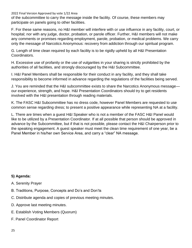of the subcommittee to carry the message inside the facility. Of course, these members may participate on panels going to other facilities.

F. For these same reasons, no H&I member will interfere with or use influence in any facility, court, or hospital; nor with any judge, doctor, probation, or parole officer. Further, H&I members will not make any comments or promises regarding employment, parole, probation, or medical problems. We carry only the message of Narcotics Anonymous: recovery from addiction through our spiritual program.

G. Length of time clean required by each facility is to be rigidly upheld by all H&I Presentation Coordinators.

H. Excessive use of profanity or the use of vulgarities in your sharing is strictly prohibited by the authorities of all facilities, and strongly discouraged by the H&I Subcommittee.

I. H&I Panel Members shall be responsible for their conduct in any facility, and they shall take responsibility to become informed in advance regarding the regulations of the facilities being served.

J. You are reminded that the H&I subcommittee exists to share the Narcotics Anonymous message our experience, strength, and hope. H&I Presentation Coordinators should try to get residents involved with the H&I presentation through reading materials.

K. The FASC H&I Subcommittee has no dress code, however Panel Members are requested to use common sense regarding dress; to present a positive appearance while representing NA at a facility.

L. There are times when a guest H&I Speaker who is not a member of the FASC H&I Panel would like to be utilized by a Presentation Coordinator. If at all possible that person should be approved in advance by the Subcommittee, but if that is not possible, please contact the H&I Chairperson prior to the speaking engagement. A guest speaker must meet the clean time requirement of one year, be a Panel Member in his/her own Service Area, and carry a "clear" NA message.

# **5) Agenda:**

- A. Serenity Prayer
- B. Traditions, Purpose, Concepts and Do's and Don'ts
- C. Distribute agenda and copies of previous meeting minutes.
- D. Approve last meeting minutes.
- E. Establish Voting Members (Quorum)
- F. Panel Coordinator Report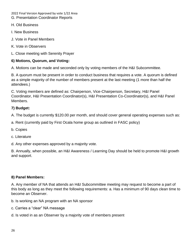2022 Final Version Approved by vote 1/22 Area G. Presentation Coordinator Reports

- H. Old Business
- I. New Business
- J. Vote in Panel Members
- K. Vote in Observers
- L. Close meeting with Serenity Prayer

# **6) Motions, Quorum, and Voting:**

A. Motions can be made and seconded only by voting members of the H&I Subcommittee.

B. A quorum must be present in order to conduct business that requires a vote. A quorum is defined as a simple majority of the number of members present at the last meeting (1 more than half the attendees.)

C. Voting members are defined as: Chairperson, Vice-Chairperson, Secretary, H&I Panel Coordinator, H&I Presentation Coordinator(s), H&I Presentation Co-Coordinator(s), and H&I Panel Members.

# **7) Budget:**

A. The budget is currently \$120.00 per month, and should cover general operating expenses such as:

- a. Rent (currently paid by First Ocala home group as outlined in FASC policy)
- b. Copies
- c. Literature
- d. Any other expenses approved by a majority vote.

B. Annually, when possible, an H&I Awareness / Learning Day should be held to promote H&I growth and support.

# **8) Panel Members:**

A. Any member of NA that attends an H&I Subcommittee meeting may request to become a part of this body as long as they meet the following requirements: a. Has a minimum of 90 days clean time to become an Observer.

- b. Is working an NA program with an NA sponsor
- c. Carries a "clear" NA message
- d. Is voted in as an Observer by a majority vote of members present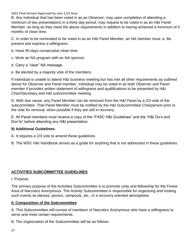B. Any individual that has been voted in as an Observer, may upon completion of attending a minimum of two presentations in a thirty day period, may request to be voted in as an H&I Panel Member, as long as they meet the above requirements in addition to having achieved a minimum of 4 months of clean time.

C. In order to be nominated to be voted in as an H&I Panel Member, an NA member must: a. Be present and express a willingness.

- b. Have 90 days consecutive clean time.
- c. Work an NA program with an NA sponsor.
- d. Carry a "clear" NA message.
- e. Be elected by a majority vote of the members.

If individual is unable to attend H&I business meeting but has met all other requirements as outlined above for Observer and Panel member, individual may be voted in as both Observer and Panel member if provides written statement of willingness and qualifications to be presented by H&I Chair/Secretary and H&I subcommittee meeting.

D. With due cause, any Panel Member can be removed from the H&I Panel by a 2/3 vote of the subcommittee. That Panel Member must be notified by the H&I Subcommittee Chairperson prior to the vote for removal, when possible if they are still in recovery.

E. All Panel members must receive a copy of the "FASC H&I Guidelines" and the "H&I Do's and Don'ts" before attending any H&I presentation.

## **9) Additional Guidelines:**

A. It requires a 2/3 vote to amend these guidelines.

B. The WSC H&I Handbook serves as a guide for anything that is not addressed in these guidelines.

## **ACTIVITIES SUBCOMMITTEE GUIDELINES**

#### I. Purpose

The primary purpose of the Activities Subcommittee is to promote unity and fellowship for the Forest Area of Narcotics Anonymous. The Activity Subcommittee is responsible for organizing and hosting such events as dances, picnics, campouts, etc., in a recovery oriented atmosphere.

## **II. Composition of the Subcommittee**

A. This Subcommittee will consist of members of Narcotics Anonymous who have a willingness to serve and meet certain requirements.

B. The organization of the Subcommittee will be as follows: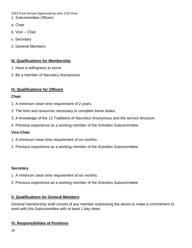- 1. Subcommittee Officers
- a. Chair
- b. Vice Chair
- c. Secretary
- 2. General Members

## **III. Qualifications for Membership**

- 1. Have a willingness to serve
- 2. Be a member of Narcotics Anonymous

# **IV. Qualifications for Officers**

## **Chair**

- 1. A minimum clean time requirement of 2 years.
- 2. The time and resources necessary to complete these duties.
- 3. A knowledge of the 12 Traditions of Narcotics Anonymous and the service structure.
- 4. Previous experience as a working member of the Activities Subcommittee.

# **Vice-Chair**

- 1. A minimum clean time requirement of six months.
- 2. Previous experience as a working member of the Activities Subcommittee.

## **Secretary**

- 1. A minimum clean time requirement of six months.
- 2. Previous experience as a working member of the Activities Subcommittee

# **V. Qualifications for General Members**

General membership shall consist of any member expressing the desire to make a commitment to work with this Subcommittee with at least 1 day clean.

# **VI. Responsibilities of Positions**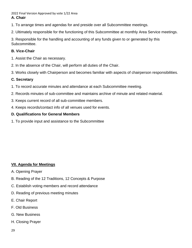1. To arrange times and agendas for and preside over all Subcommittee meetings.

2. Ultimately responsible for the functioning of this Subcommittee at monthly Area Service meetings.

3. Responsible for the handling and accounting of any funds given to or generated by this Subcommittee.

# **B. Vice-Chair**

- 1. Assist the Chair as necessary.
- 2. In the absence of the Chair, will perform all duties of the Chair.
- 3. Works closely with Chairperson and becomes familiar with aspects of chairperson responsibilities.

# **C. Secretary**

- 1. To record accurate minutes and attendance at each Subcommittee meeting.
- 2. Records minutes of sub-committee and maintains archive of minute and related material.
- 3. Keeps current record of all sub-committee members.
- 4. Keeps records/contact info of all venues used for events.

# **D. Qualifications for General Members**

1. To provide input and assistance to the Subcommittee

# **VII. Agenda for Meetings**

- A. Opening Prayer
- B. Reading of the 12 Traditions, 12 Concepts & Purpose
- C. Establish voting members and record attendance
- D. Reading of previous meeting minutes
- E. Chair Report
- F. Old Business
- G. New Business
- H. Closing Prayer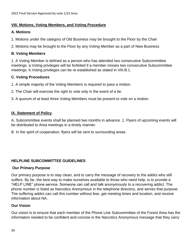#### **VIII. Motions, Voting Members, and Voting Procedure**

#### **A. Motions**

1. Motions under the category of Old Business may be brought to the Floor by the Chair

2. Motions may be brought to the Floor by any Voting Member as a part of New Business

#### **B. Voting Members**

1. A Voting Member is defined as a person who has attended two consecutive Subcommittee meetings. a.Voting privileges will be forfeited if a member misses two consecutive Subcommittee meetings. b.Voting privileges can be re-established as stated in VIII.B.1.

## **C. Voting Procedures**

1. A simple majority of the Voting Members is required to pass a motion.

- 2. The Chair will exercise the right to vote only in the event of a tie.
- 3. A quorum of at least three Voting Members must be present to vote on a motion.

## **IX. Statement of Policy**

A. Subcommittee events shall be planned two months in advance. 1. Flyers of upcoming events will be distributed to Area meetings in a timely manner.

B. In the spirit of cooperation, flyers will be sent to surrounding areas.

## **HELPLINE SUBCOMMITTEE GUIDELINES**

#### **Our Primary Purpose**

Our primary purpose is to stay clean, and to carry the message of recovery to the addict who still suffers. By far, the best way to make ourselves available to those who need help, is to provide a "HELP LINE" phone service. Someone can call and talk anonymously to a recovering addict. The phone number is listed as Narcotics Anonymous in the telephone directory, and serves that purpose. The suffering addict can call this number without fear, get meeting times and location, and receive information about NA.

## **Our Vision**

Our vision is to ensure that each member of the Phone Line Subcommittee of the Forest Area has the information needed to be confident and concise in the Narcotics Anonymous message that they carry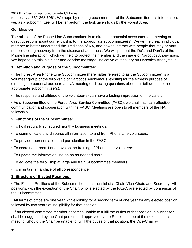to those via 352-368-6061. We hope by offering each member of the Subcommittee this information, we, as a subcommittee, will better perform the task given to us by the Forest Area.

## **Our Mission**

The mission of the Phone Line Subcommittee is to direct the potential newcomer to a meeting or direct questions about our fellowship to the appropriate subcommittee(s). We will help each individual member to better understand the Traditions of NA, and how to interact with people that may or may not be seeking recovery from the disease of addictions. We will present the Do's and Don'ts of the Phone line interaction, which will help to protect the member and the image of Narcotics Anonymous. We hope to do this in a clear and concise message, indicative of recovery on Narcotics Anonymous.

## **1. Definition and Purpose of the Subcommittee:**

• The Forest Area Phone Line Subcommittee (hereinafter referred to as the Subcommittee) is a volunteer group of the fellowship of Narcotics Anonymous, existing for the express purpose of directing the potential addict to an NA meeting or directing questions about our fellowship to the appropriate subcommittee(s).

• The response and attitude of the volunteer(s) can have a lasting impression on the caller.

• As a Subcommittee of the Forest Area Service Committee (FASC), we shall maintain effective communication and cooperation with the FASC. Meetings are open to all members of the NA fellowship.

## **2. Functions of the Subcommittee:**

- To hold regularly scheduled monthly business meetings.
- To communicate and disburse all information to and from Phone Line volunteers.
- To provide representation and participation in the FASC.
- To coordinate, recruit and develop the training of Phone Line volunteers.
- To update the information line on an as-needed basis.
- To educate the fellowship at large and train Subcommittee members.
- To maintain an archive of all correspondence.

## **3. Structure of Elected Positions:**

• The Elected Positions of the Subcommittee shall consist of a Chair, Vice-Chair, and Secretary. All positions, with the exception of the Chair, who is elected by the FASC, are elected by consensus of the Subcommittee.

• All terms of office are one year with eligibility for a second term of one year for any elected position, followed by two years of ineligibility for that position.

• If an elected committee member becomes unable to fulfill the duties of that position, a successor shall be suggested by the Chairperson and approved by the Subcommittee at the next business meeting. Should the Chair be unable to fulfill the duties of that position, the Vice-Chair will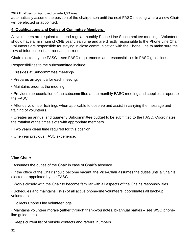automatically assume the position of the chairperson until the next FASC meeting where a new Chair will be elected or appointed.

## **4. Qualifications and Duties of Committee Members:**

All volunteers are required to attend regular monthly Phone Line Subcommittee meetings. Volunteers should have a minimum of ONE year clean time and are directly responsible to the Phone Line Chair. Volunteers are responsible for staying in close communication with the Phone Line to make sure the flow of information is current and current.

Chair: elected by the FASC – see FASC requirements and responsibilities in FASC guidelines.

Responsibilities to the subcommittee include:

- Presides at Subcommittee meetings
- Prepares an agenda for each meeting.
- Maintains order at the meeting.
- Provides representation of the subcommittee at the monthly FASC meeting and supplies a report to the FASC.
- Attends volunteer trainings when applicable to observe and assist in carrying the message and training of volunteers.
- Creates an annual and quarterly Subcommittee budget to be submitted to the FASC. Coordinates the rotation of the times slots with appropriate members.
- Two years clean time required for this position.
- One year previous FASC experience.

#### **Vice-Chair:**

- Assumes the duties of the Chair in case of Chair's absence.
- If the office of the Chair should become vacant, the Vice-Chair assumes the duties until a Chair is elected or appointed by the FASC.
- Works closely with the Chair to become familiar with all aspects of the Chair's responsibilities.
- Schedules and maintains list(s) of all active phone-line volunteers, coordinates all back-up volunteers.
- Collects Phone Line volunteer logs.
- Maintains volunteer morale (either through thank-you notes, bi-annual parties see WSO phoneline guide, etc.).
- Keeps current list of outside contacts and referral numbers.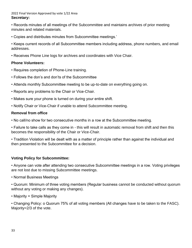#### 2022 Final Version Approved by vote 1/22 Area **Secretary:**

• Records minutes of all meetings of the Subcommittee and maintains archives of prior meeting minutes and related materials.

• Copies and distributes minutes from Subcommittee meetings.'

• Keeps current records of all Subcommittee members including address, phone numbers, and email addresses.

• Receives Phone Line logs for archives and coordinates with Vice Chair.

#### **Phone Volunteers:**

- Requires completion of Phone-Line training.
- Follows the don's and don'ts of the Subcommittee
- Attends monthly Subcommittee meeting to be up-to-date on everything going on.
- Reports any problems to the Chair or Vice-Chair.
- Makes sure your phone is turned on during your entire shift.
- Notify Chair or Vice-Chair if unable to attend Subcommittee meeting.

## **Removal from office**

• No call/no show for two consecutive months in a row at the Subcommittee meeting.

• Failure to take calls as they come in - this will result in automatic removal from shift and then this becomes the responsibility of the Chair or Vice-Chair.

• Tradition Violation will be dealt with as a matter of principle rather than against the individual and then presented to the Subcommittee for a decision.

## **Voting Policy for Subcommittee:**

• Anyone can vote after attending two consecutive Subcommittee meetings in a row. Voting privileges are not lost due to missing Subcommittee meetings.

• Normal Business Meetings

• Quorum: Minimum of three voting members (Regular business cannot be conducted without quorum without any voting or making any changes).

• Majority = Simple Majority

• Changing Policy: o Quorum 75% of all voting members (All changes have to be taken to the FASC). Majority=2/3 of the vote.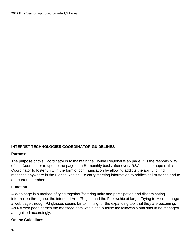## **INTERNET TECHNOLOGIES COORDINATOR GUIDELINES**

#### **Purpose**

The purpose of this Coordinator is to maintain the Florida Regional Web page. It is the responsibility of this Coordinator to update the page on a BI-monthly basis after every RSC. It is the hope of this Coordinator to foster unity in the form of communication by allowing addicts the ability to find meetings anywhere in the Florida Region. To carry meeting information to addicts still suffering and to our current members.

#### **Function**

A Web page is a method of tying together/fostering unity and participation and disseminating information throughout the intended Area/Region and the Fellowship at large. Trying to Micromanage a web page through P.I glasses seems far to limiting for the expanding tool that they are becoming. An NA web page carries the message both within and outside the fellowship and should be managed and guided accordingly.

#### **Online Guidelines**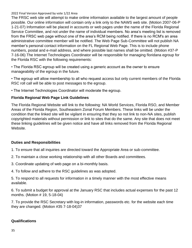The FRSC web site will attempt to make online information available to the largest amount of people possible. Our online information will contain only a link only to the NAWS web site. (Motion 2007-06-P 1-21-07) Information will be placed in accounts or web pages under the name of the Florida Regional Service Committee, and not under the name of individual members. No area's meeting list is removed from the FRSC web page without one of the area's RCM being notified. If there is no RCM's an area administrative committee member will be notified. The Web Page Sub-Committee will not publish NA member's personal contact information on the FL Regional Web Page. This is to include phone numbers, postal and e-mail address, and where possible last names shall be omitted. (Motion #37-P 7-16-06) The Internet Technologies Coordinator will be responsible for managing floridana egroup for the Florida RSC with the following requirements:

• The Florida RSC egroup will be created using a generic account as the owner to ensure manageability of the egroup in the future.

• The egroup will allow membership to all who request access but only current members of the Florida RSC roll call will be able to post messages to the egroup.

• The Internet Technologies Coordinator will moderate the egroup.

## **Florida Regional Web Page Link Guidelines**

The Florida Regional Website will link to the following: NA World Services, Florida RSO, and Member Areas of the Florida Region, Southeastern Zonal Forum Members. These links will be under the condition that the linked site will be vigilant in ensuring that they so not link to non-NA sites, publish copyrighted materials without permission or link to sites that do the same. Any site that does not meet these linking guidelines will be given notice and have all links removed from the Florida Regional Website.

## **Duties and Responsibilities**

- 1. To ensure that all inquiries are directed toward the Appropriate Area or sub-committee.
- 2. To maintain a close working relationship with all other Boards and committees.
- 3. Coordinate updating of web page on a bi-monthly basis.
- 4. To follow and adhere to the RSC guidelines as was adopted.

5. To respond to all requests for information in a timely manner with the most effective means available.

6. To submit a budget for approval at the January RSC that includes actual expenses for the past 12 months. (Motion # 19, 5-18-04)

7. To provide the RSC Secretary with log-in information, passwords etc. for the website each time they are changed. (Motion #35 7-18-04)37

## **Qualifications**